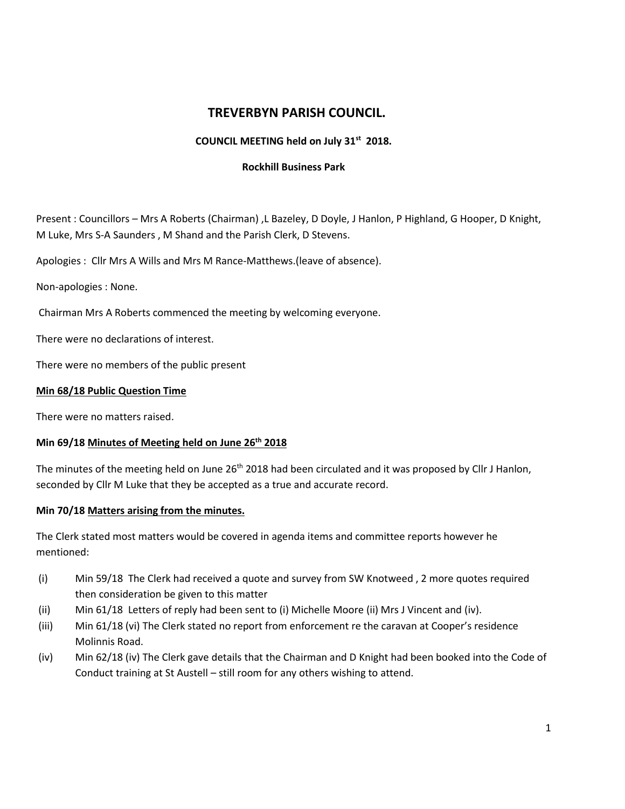# **TREVERBYN PARISH COUNCIL.**

### **COUNCIL MEETING held on July 31st 2018.**

#### **Rockhill Business Park**

Present : Councillors – Mrs A Roberts (Chairman) ,L Bazeley, D Doyle, J Hanlon, P Highland, G Hooper, D Knight, M Luke, Mrs S-A Saunders , M Shand and the Parish Clerk, D Stevens.

Apologies : Cllr Mrs A Wills and Mrs M Rance-Matthews.(leave of absence).

Non-apologies : None.

Chairman Mrs A Roberts commenced the meeting by welcoming everyone.

There were no declarations of interest.

There were no members of the public present

#### **Min 68/18 Public Question Time**

There were no matters raised.

### **Min 69/18 Minutes of Meeting held on June 26 th 2018**

The minutes of the meeting held on June 26<sup>th</sup> 2018 had been circulated and it was proposed by Cllr J Hanlon, seconded by Cllr M Luke that they be accepted as a true and accurate record.

#### **Min 70/18 Matters arising from the minutes.**

The Clerk stated most matters would be covered in agenda items and committee reports however he mentioned:

- (i) Min 59/18 The Clerk had received a quote and survey from SW Knotweed , 2 more quotes required then consideration be given to this matter
- (ii) Min 61/18 Letters of reply had been sent to (i) Michelle Moore (ii) Mrs J Vincent and (iv).
- (iii) Min 61/18 (vi) The Clerk stated no report from enforcement re the caravan at Cooper's residence Molinnis Road.
- (iv) Min 62/18 (iv) The Clerk gave details that the Chairman and D Knight had been booked into the Code of Conduct training at St Austell – still room for any others wishing to attend.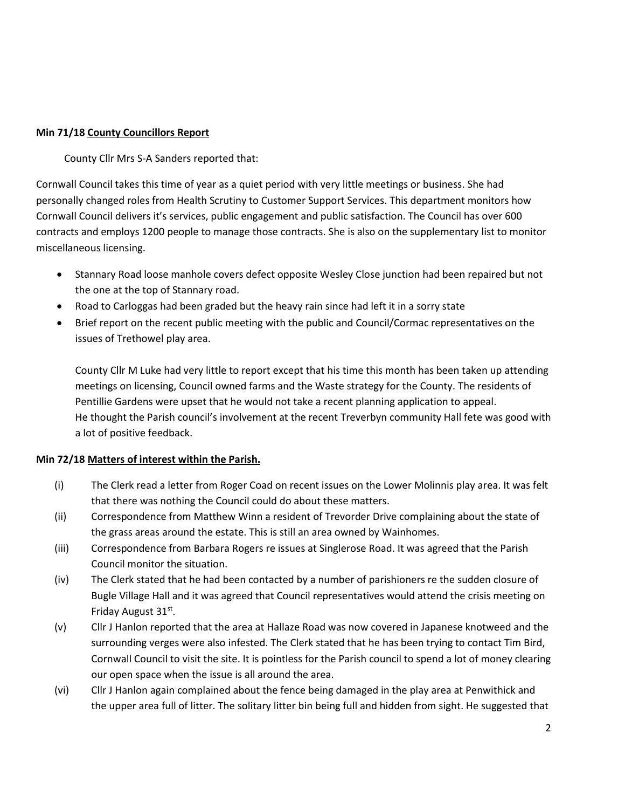## **Min 71/18 County Councillors Report**

County Cllr Mrs S-A Sanders reported that:

Cornwall Council takes this time of year as a quiet period with very little meetings or business. She had personally changed roles from Health Scrutiny to Customer Support Services. This department monitors how Cornwall Council delivers it's services, public engagement and public satisfaction. The Council has over 600 contracts and employs 1200 people to manage those contracts. She is also on the supplementary list to monitor miscellaneous licensing.

- Stannary Road loose manhole covers defect opposite Wesley Close junction had been repaired but not the one at the top of Stannary road.
- Road to Carloggas had been graded but the heavy rain since had left it in a sorry state
- Brief report on the recent public meeting with the public and Council/Cormac representatives on the issues of Trethowel play area.

County Cllr M Luke had very little to report except that his time this month has been taken up attending meetings on licensing, Council owned farms and the Waste strategy for the County. The residents of Pentillie Gardens were upset that he would not take a recent planning application to appeal. He thought the Parish council's involvement at the recent Treverbyn community Hall fete was good with a lot of positive feedback.

#### **Min 72/18 Matters of interest within the Parish.**

- (i) The Clerk read a letter from Roger Coad on recent issues on the Lower Molinnis play area. It was felt that there was nothing the Council could do about these matters.
- (ii) Correspondence from Matthew Winn a resident of Trevorder Drive complaining about the state of the grass areas around the estate. This is still an area owned by Wainhomes.
- (iii) Correspondence from Barbara Rogers re issues at Singlerose Road. It was agreed that the Parish Council monitor the situation.
- (iv) The Clerk stated that he had been contacted by a number of parishioners re the sudden closure of Bugle Village Hall and it was agreed that Council representatives would attend the crisis meeting on Friday August 31st.
- (v) Cllr J Hanlon reported that the area at Hallaze Road was now covered in Japanese knotweed and the surrounding verges were also infested. The Clerk stated that he has been trying to contact Tim Bird, Cornwall Council to visit the site. It is pointless for the Parish council to spend a lot of money clearing our open space when the issue is all around the area.
- (vi) Cllr J Hanlon again complained about the fence being damaged in the play area at Penwithick and the upper area full of litter. The solitary litter bin being full and hidden from sight. He suggested that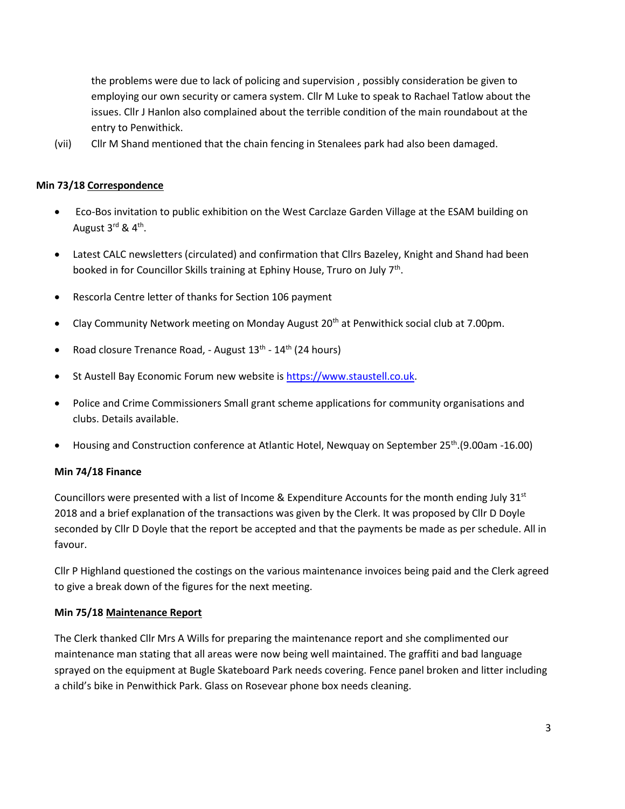the problems were due to lack of policing and supervision , possibly consideration be given to employing our own security or camera system. Cllr M Luke to speak to Rachael Tatlow about the issues. Cllr J Hanlon also complained about the terrible condition of the main roundabout at the entry to Penwithick.

(vii) Cllr M Shand mentioned that the chain fencing in Stenalees park had also been damaged.

### **Min 73/18 Correspondence**

- Eco-Bos invitation to public exhibition on the West Carclaze Garden Village at the ESAM building on August 3<sup>rd</sup> & 4<sup>th</sup>.
- Latest CALC newsletters (circulated) and confirmation that Cllrs Bazeley, Knight and Shand had been booked in for Councillor Skills training at Ephiny House, Truro on July 7<sup>th</sup>.
- Rescorla Centre letter of thanks for Section 106 payment
- Clay Community Network meeting on Monday August  $20<sup>th</sup>$  at Penwithick social club at 7.00pm.
- Road closure Trenance Road, August 13<sup>th</sup> 14<sup>th</sup> (24 hours)
- St Austell Bay Economic Forum new website i[s https://www.staustell.co.uk.](https://www.staustell.co.uk/)
- Police and Crime Commissioners Small grant scheme applications for community organisations and clubs. Details available.
- Housing and Construction conference at Atlantic Hotel, Newquay on September 25<sup>th</sup>.(9.00am -16.00)

#### **Min 74/18 Finance**

Councillors were presented with a list of Income & Expenditure Accounts for the month ending July  $31^{st}$ 2018 and a brief explanation of the transactions was given by the Clerk. It was proposed by Cllr D Doyle seconded by Cllr D Doyle that the report be accepted and that the payments be made as per schedule. All in favour.

Cllr P Highland questioned the costings on the various maintenance invoices being paid and the Clerk agreed to give a break down of the figures for the next meeting.

#### **Min 75/18 Maintenance Report**

The Clerk thanked Cllr Mrs A Wills for preparing the maintenance report and she complimented our maintenance man stating that all areas were now being well maintained. The graffiti and bad language sprayed on the equipment at Bugle Skateboard Park needs covering. Fence panel broken and litter including a child's bike in Penwithick Park. Glass on Rosevear phone box needs cleaning.